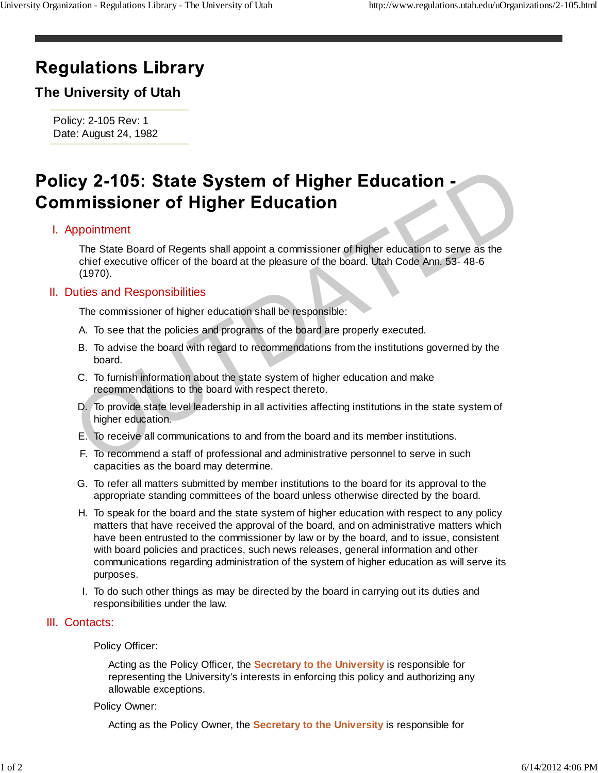# **Regulations Library**

## **The University of Utah**

Policy: 2-105 Rev: 1 Date: August 24, 1982

# Cy 2-105: State System of Higher Education<br>
prointment<br>
The State Soverest Ball appoint a commissioner of higher education to serve as the<br>
chief executive officer of the board at the pleasure of the board. Utah Code Ann.

### Appointment I.

The State Board of Regents shall appoint a commissioner of higher education to serve as the chief executive officer of the board at the pleasure of the board. Utah Code Ann. 53- 48-6 (1970).

### II. Duties and Responsibilities

The commissioner of higher education shall be responsible:

- A. To see that the policies and programs of the board are properly executed.
- B. To advise the board with regard to recommendations from the institutions governed by the board.
- C. To furnish information about the state system of higher education and make recommendations to the board with respect thereto.
- D. To provide state level leadership in all activities affecting institutions in the state system of higher education.
- E. To receive all communications to and from the board and its member institutions.
- F. To recommend a staff of professional and administrative personnel to serve in such capacities as the board may determine.
- G. To refer all matters submitted by member institutions to the board for its approval to the appropriate standing committees of the board unless otherwise directed by the board.
- H. To speak for the board and the state system of higher education with respect to any policy matters that have received the approval of the board, and on administrative matters which have been entrusted to the commissioner by law or by the board, and to issue, consistent with board policies and practices, such news releases, general information and other communications regarding administration of the system of higher education as will serve its purposes.
- I. To do such other things as may be directed by the board in carrying out its duties and responsibilities under the law.

### III. Contacts:

### Policy Officer:

Acting as the Policy Officer, the **Secretary to the University** is responsible for representing the University's interests in enforcing this policy and authorizing any allowable exceptions.

### Policy Owner:

Acting as the Policy Owner, the **Secretary to the University** is responsible for